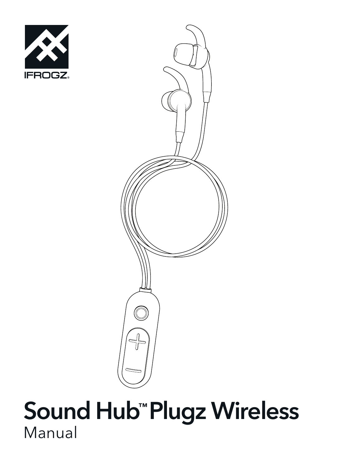



## Sound Hub™ Plugz Wireless Manual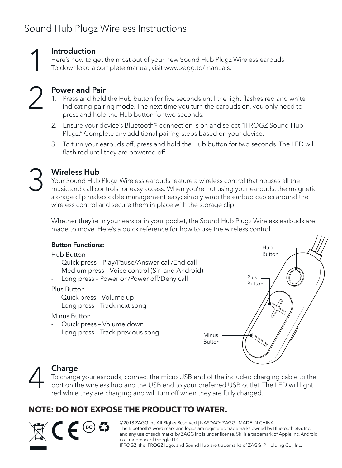1 2

#### Introduction

Here's how to get the most out of your new Sound Hub Plugz Wireless earbuds. To download a complete manual, visit www.zagg.to/manuals.

#### Power and Pair

- 1. Press and hold the Hub button for five seconds until the light flashes red and white, indicating pairing mode. The next time you turn the earbuds on, you only need to press and hold the Hub button for two seconds.
- 2. Ensure your device's Bluetooth® connection is on and select "IFROGZ Sound Hub Plugz." Complete any additional pairing steps based on your device.
- 3. To turn your earbuds off, press and hold the Hub button for two seconds. The LED will flash red until they are powered off.
- 3

#### Wireless Hub

Your Sound Hub Plugz Wireless earbuds feature a wireless control that houses all the music and call controls for easy access. When you're not using your earbuds, the magnetic storage clip makes cable management easy; simply wrap the earbud cables around the wireless control and secure them in place with the storage clip.

Whether they're in your ears or in your pocket, the Sound Hub Plugz Wireless earbuds are made to move. Here's a quick reference for how to use the wireless control.

#### Button Functions:

Hub Button

- Quick press Play/Pause/Answer call/End call
- Medium press Voice control (Siri and Android)
- Long press Power on/Power off/Deny call

Plus Button

- Quick press Volume up
- Long press Track next song

Minus Button

- Quick press Volume down
- Long press Track previous song



## Charge 4

To charge your earbuds, connect the micro USB end of the included charging cable to the port on the wireless hub and the USB end to your preferred USB outlet. The LED will light red while they are charging and will turn off when they are fully charged.

#### **NOTE: DO NOT EXPOSE THE PRODUCT TO WATER.**

©2018 ZAGG Inc All Rights Reserved | NASDAQ: ZAGG | MADE IN CHINA The Bluetooth® word mark and logos are registered trademarks owned by Bluetooth SIG, Inc. and any use of such marks by ZAGG Inc is under license. Siri is a trademark of Apple Inc. Android is a trademark of Google LLC. IFROGZ, the IFROGZ logo, and Sound Hub are trademarks of ZAGG IP Holding Co., Inc.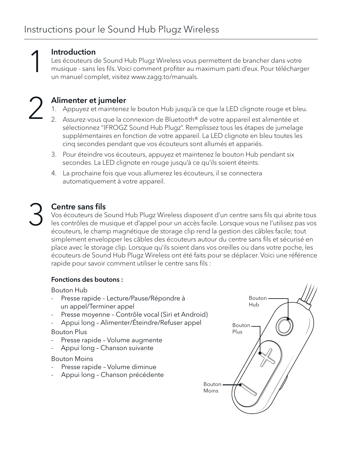

#### Introduction

Introduction<br>
Les écouteurs de Sound Hub Plugz Wireless vous permettent de brancher dans votre<br>
musique - sans les fils. Voici comment profiter au maximum parti d'eux. Pour télécharger<br>
un manuel complet visitez www.zaga t un manuel complet, visitez www.zagg.to/manuals.

#### Alimenter et jumeler

- 1. Appuyez et maintenez le bouton Hub jusqu'à ce que la LED clignote rouge et bleu.
- 2. Assurez-vous que la connexion de Bluetooth® de votre appareil est alimentée et sélectionnez "IFROGZ Sound Hub Plugz". Remplissez tous les étapes de jumelage supplémentaires en fonction de votre appareil. La LED clignote en bleu toutes les cinq secondes pendant que vos écouteurs sont allumés et appariés.
- 3. Pour éteindre vos écouteurs, appuyez et maintenez le bouton Hub pendant six secondes. La LED clignote en rouge jusqu'à ce qu'ils soient éteints.
- 4. La prochaine fois que vous allumerez les écouteurs, il se connectera automatiquement à votre appareil.

## Centre sans fils 3

Vos écouteurs de Sound Hub Plugz Wireless disposent d'un centre sans fils qui abrite tous les contrôles de musique et d'appel pour un accès facile. Lorsque vous ne l'utilisez pas vos écouteurs, le champ magnétique de storage clip rend la gestion des câbles facile; tout simplement envelopper les câbles des écouteurs autour du centre sans fils et sécurisé en place avec le storage clip. Lorsque qu'ils soient dans vos oreilles ou dans votre poche, les écouteurs de Sound Hub Plugz Wireless ont été faits pour se déplacer. Voici une référence rapide pour savoir comment utiliser le centre sans fils :

#### Fonctions des boutons :

#### Bouton Hub

- Presse rapide Lecture/Pause/Répondre à un appel/Terminer appel
- Presse moyenne Contrôle vocal (Siri et Android)
- Appui long Alimenter/Éteindre/Refuser appel

#### Bouton Plus

- Presse rapide Volume augmente
- Appui long Chanson suivante

#### Bouton Moins

- Presse rapide Volume diminue
- Appui long Chanson précédente

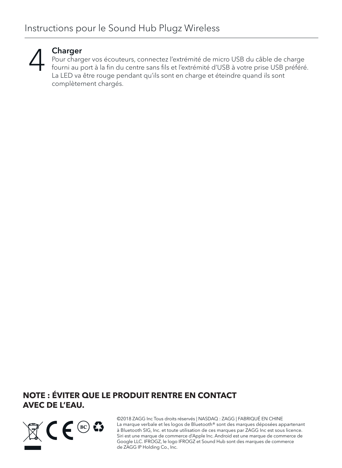

#### Charger

Pour charger vos écouteurs, connectez l'extrémité de micro USB du câble de charge fourni au port à la fin du centre sans fils et l'extrémité d'USB à votre prise USB préféré. La LED va être rouge pendant qu'ils sont en charge et éteindre quand ils sont complètement chargés.

#### **NOTE : ÉVITER QUE LE PRODUIT RENTRE EN CONTACT AVEC DE L'EAU.**



©2018 ZAGG Inc Tous droits réservés | NASDAQ : ZAGG | FABRIQUÉ EN CHINE La marque verbale et les logos de Bluetooth® sont des marques déposées appartenant à Bluetooth SIG, Inc. et toute utilisation de ces marques par ZAGG Inc est sous licence. Siri est une marque de commerce d'Apple Inc. Android est une marque de commerce de Google LLC. IFROGZ, le logo IFROGZ et Sound Hub sont des marques de commerce de ZAGG IP Holding Co., Inc.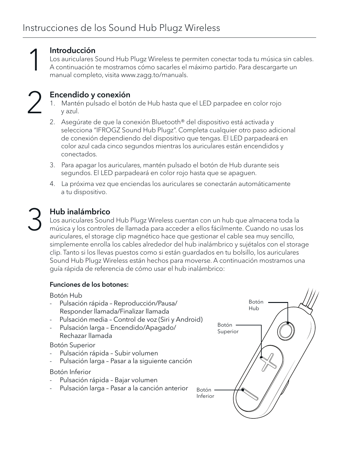#### Introducción

**1 Introducción**<br>
Los auriculares Sound Hub Plugz Wireless te permiten conectar toda tu música sin cables.<br>
A continuación te mostramos cómo sacarles el máximo partido. Para descargarte un manual completo, visita www.zaca manual completo, visita www.zagg.to/manuals.

## Encendido y conexión 2

- 1. Mantén pulsado el botón de Hub hasta que el LED parpadee en color rojo y azul.
- 2. Asegúrate de que la conexión Bluetooth® del dispositivo está activada y selecciona "IFROGZ Sound Hub Plugz". Completa cualquier otro paso adicional de conexión dependiendo del dispositivo que tengas. El LED parpadeará en color azul cada cinco segundos mientras los auriculares están encendidos y conectados.
- 3. Para apagar los auriculares, mantén pulsado el botón de Hub durante seis segundos. El LED parpadeará en color rojo hasta que se apaguen.
- 4. La próxima vez que enciendas los auriculares se conectarán automáticamente a tu dispositivo.

# 3

#### Hub inalámbrico

Los auriculares Sound Hub Plugz Wireless cuentan con un hub que almacena toda la música y los controles de llamada para acceder a ellos fácilmente. Cuando no usas los auriculares, el storage clip magnético hace que gestionar el cable sea muy sencillo, simplemente enrolla los cables alrededor del hub inalámbrico y sujétalos con el storage clip. Tanto si los llevas puestos como si están guardados en tu bolsillo, los auriculares Sound Hub Plugz Wireless están hechos para moverse. A continuación mostramos una guía rápida de referencia de cómo usar el hub inalámbrico:

#### Funciones de los botones:

Botón Hub

- Pulsación rápida Reproducción/Pausa/ Responder llamada/Finalizar llamada
- Pulsación media Control de voz (Siri y Android)
- Pulsación larga Encendido/Apagado/ Rechazar llamada

#### Botón Superior

- Pulsación rápida Subir volumen
- Pulsación larga Pasar a la siguiente canción

#### Botón Inferior

- Pulsación rápida Bajar volumen
- Pulsación larga Pasar a la canción anterior

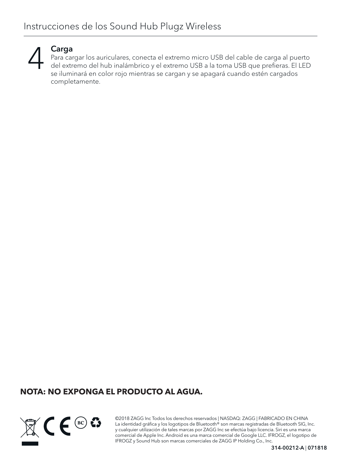

#### Carga

Para cargar los auriculares, conecta el extremo micro USB del cable de carga al puerto del extremo del hub inalámbrico y el extremo USB a la toma USB que prefieras. El LED se iluminará en color rojo mientras se cargan y se apagará cuando estén cargados completamente.

#### **NOTA: NO EXPONGA EL PRODUCTO AL AGUA.**



©2018 ZAGG Inc Todos los derechos reservados | NASDAQ: ZAGG | FABRICADO EN CHINA La identidad gráfica y los logotipos de Bluetooth® son marcas registradas de Bluetooth SIG, Inc. y cualquier utilización de tales marcas por ZAGG Inc se efectúa bajo licencia. Siri es una marca comercial de Apple Inc. Android es una marca comercial de Google LLC. IFROGZ, el logotipo de IFROGZ y Sound Hub son marcas comerciales de ZAGG IP Holding Co., Inc.